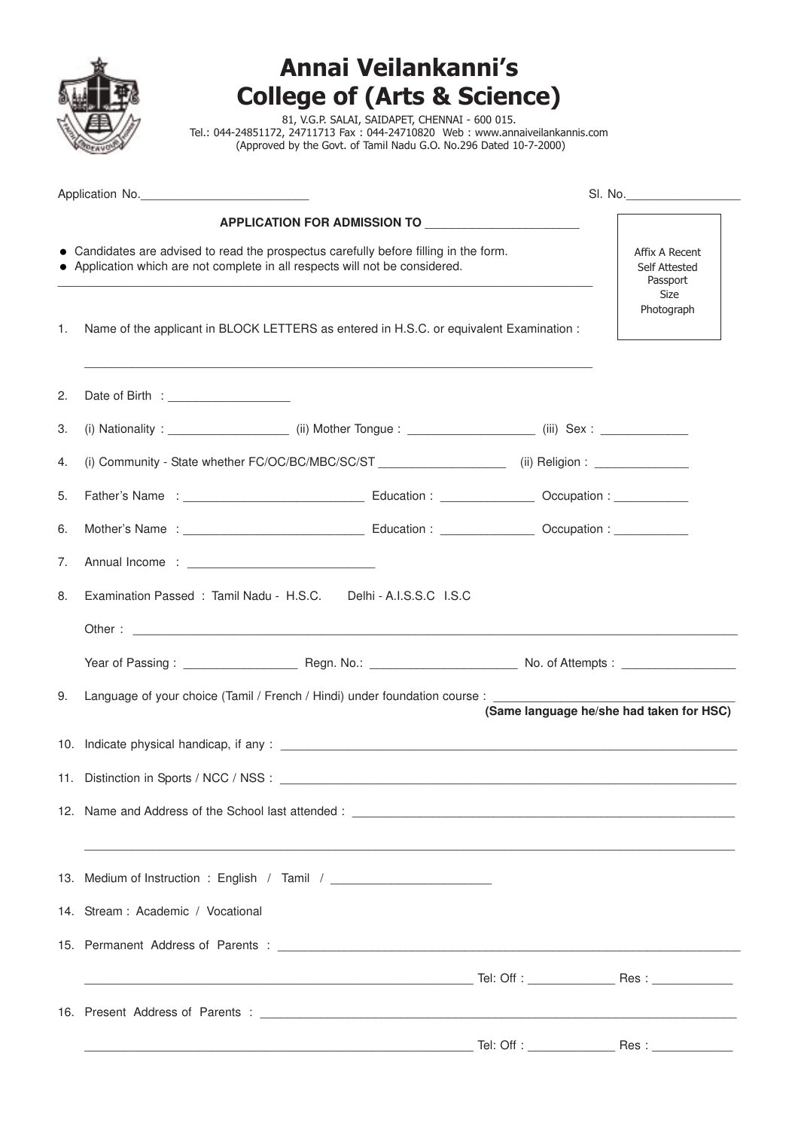|    | Annai Veilankanni's<br><b>College of (Arts &amp; Science)</b><br>81, V.G.P. SALAI, SAIDAPET, CHENNAI - 600 015.<br>Tel.: 044-24851172, 24711713 Fax: 044-24710820 Web: www.annaiveilankannis.com<br>(Approved by the Govt. of Tamil Nadu G.O. No.296 Dated 10-7-2000) |  |                                                            |  |  |  |  |  |
|----|-----------------------------------------------------------------------------------------------------------------------------------------------------------------------------------------------------------------------------------------------------------------------|--|------------------------------------------------------------|--|--|--|--|--|
|    | Application No.                                                                                                                                                                                                                                                       |  |                                                            |  |  |  |  |  |
|    | APPLICATION FOR ADMISSION TO ______________________                                                                                                                                                                                                                   |  |                                                            |  |  |  |  |  |
|    | • Candidates are advised to read the prospectus carefully before filling in the form.<br>• Application which are not complete in all respects will not be considered.                                                                                                 |  | Affix A Recent<br>Self Attested<br>Passport<br><b>Size</b> |  |  |  |  |  |
| 1. | Photograph<br>Name of the applicant in BLOCK LETTERS as entered in H.S.C. or equivalent Examination :                                                                                                                                                                 |  |                                                            |  |  |  |  |  |
| 2. |                                                                                                                                                                                                                                                                       |  |                                                            |  |  |  |  |  |
| З. | (i) Nationality: _____________________(ii) Mother Tongue: _____________________(iii) Sex: _______________                                                                                                                                                             |  |                                                            |  |  |  |  |  |
| 4. | (i) Community - State whether FC/OC/BC/MBC/SC/ST _____________________ (ii) Religion : _____________                                                                                                                                                                  |  |                                                            |  |  |  |  |  |
| 5. |                                                                                                                                                                                                                                                                       |  |                                                            |  |  |  |  |  |
| 6. |                                                                                                                                                                                                                                                                       |  |                                                            |  |  |  |  |  |
| 7. |                                                                                                                                                                                                                                                                       |  |                                                            |  |  |  |  |  |
| 8. | Examination Passed: Tamil Nadu - H.S.C. Delhi - A.I.S.S.C I.S.C                                                                                                                                                                                                       |  |                                                            |  |  |  |  |  |
|    |                                                                                                                                                                                                                                                                       |  |                                                            |  |  |  |  |  |
|    |                                                                                                                                                                                                                                                                       |  |                                                            |  |  |  |  |  |
| 9. | Language of your choice (Tamil / French / Hindi) under foundation course :                                                                                                                                                                                            |  |                                                            |  |  |  |  |  |
|    |                                                                                                                                                                                                                                                                       |  | (Same language he/she had taken for HSC)                   |  |  |  |  |  |
|    |                                                                                                                                                                                                                                                                       |  |                                                            |  |  |  |  |  |
|    |                                                                                                                                                                                                                                                                       |  |                                                            |  |  |  |  |  |
|    |                                                                                                                                                                                                                                                                       |  |                                                            |  |  |  |  |  |
|    | 13. Medium of Instruction : English / Tamil / __________________________________                                                                                                                                                                                      |  |                                                            |  |  |  |  |  |
|    | 14. Stream : Academic / Vocational                                                                                                                                                                                                                                    |  |                                                            |  |  |  |  |  |
|    |                                                                                                                                                                                                                                                                       |  |                                                            |  |  |  |  |  |
|    |                                                                                                                                                                                                                                                                       |  |                                                            |  |  |  |  |  |
|    | 16. Present Address of Parents: Lease and Contract and Contract and Contract and Contract and Contract and Contract and Contract and Contract and Contract and Contract and Contract and Contract and Contract and Contract an                                        |  |                                                            |  |  |  |  |  |
|    |                                                                                                                                                                                                                                                                       |  |                                                            |  |  |  |  |  |